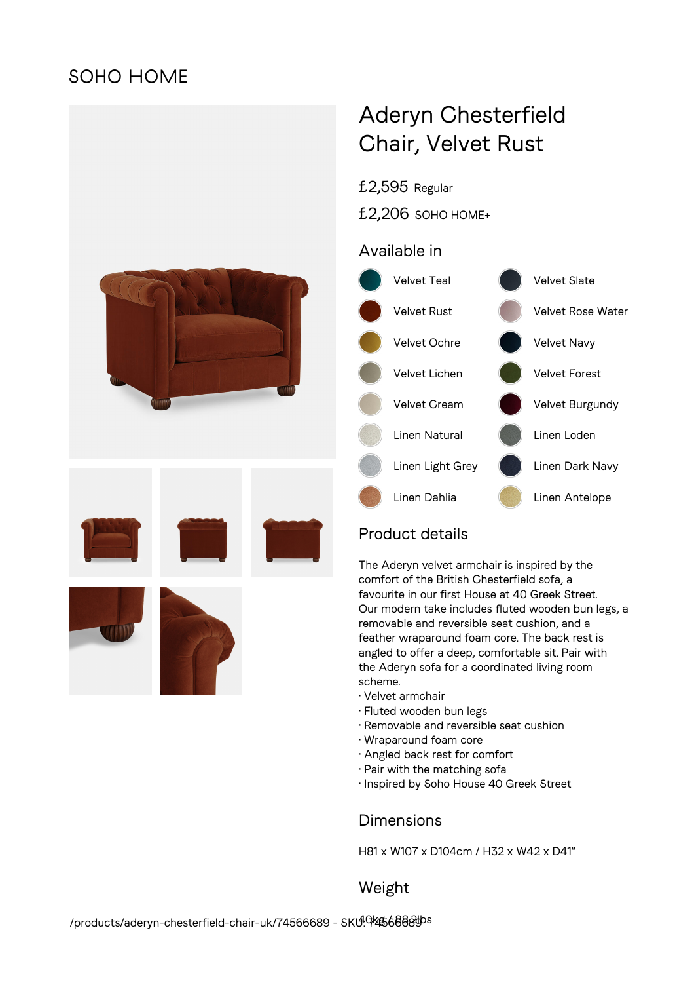# **SOHO HOME**



# Aderyn Chesterfield Chair, Velvet Rust

£2,595 Regular

£2,206 SOHO HOME+

## Available in



# Product details

The Aderyn velvet armchair is inspired by the comfort of the British Chesterfield sofa, a favourite in our first House at 40 Greek Street. Our modern take includes fluted wooden bun legs, a removable and reversible seat cushion, and a feather wraparound foam core. The back rest is angled to offer a deep, comfortable sit. Pair with the Aderyn sofa for a coordinated living room scheme.

- Velvet armchair
- Fluted wooden bun legs
- Removable and reversible seat cushion
- Wraparound foam core
- Angled back rest for comfort
- Pair with the matching sofa
- Inspired by Soho House 40 Greek Street

### **Dimensions**

H81 x W107 x D104cm / H32 x W42 x D41"

Weight